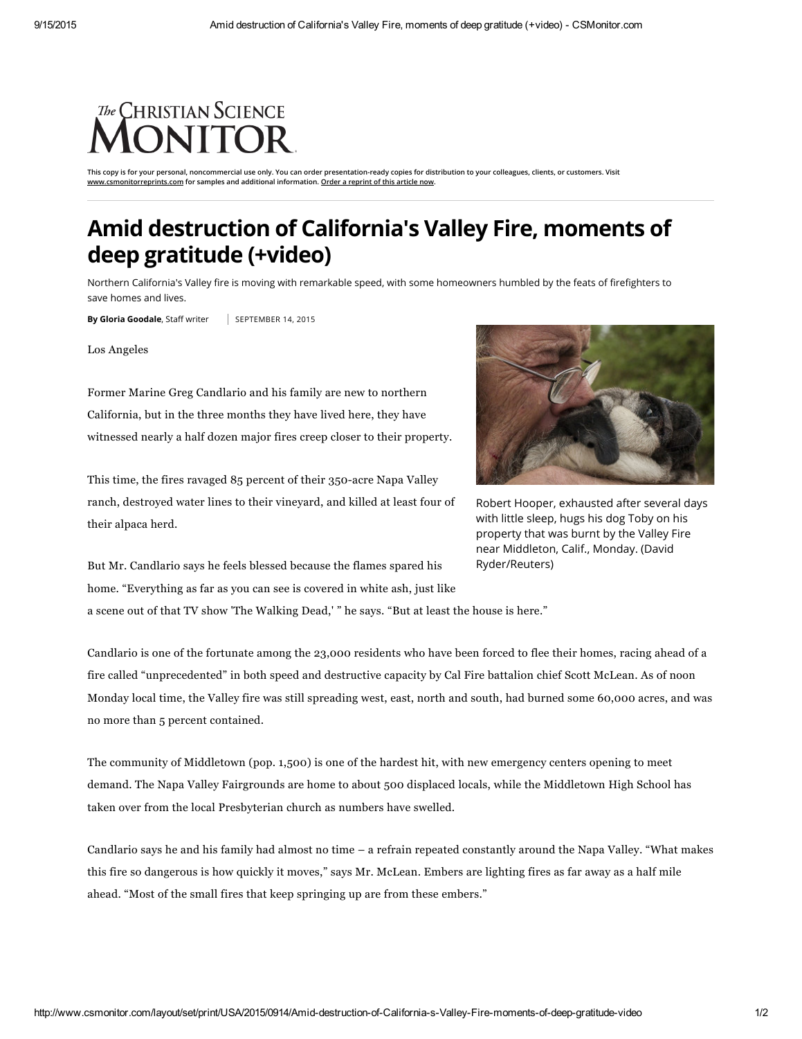## The CHRISTIAN SCIENCE **ONITOR**

This copy is for your personal, noncommercial use only. You can order presentation-ready copies for distribution to your colleagues, clients, or customers. Visit [www.csmonitorreprints.com](http://www.csmonitorreprints.com/) for samples and additional information. Order a [reprint](http://www.csmonitorreprints.com/) of this article now.

## Amid destruction of California's Valley Fire, moments of deep gratitude (+video)

Northern California's Valley fire is moving with remarkable speed, with some homeowners humbled by the feats of firefighters to save homes and lives.

By Gloria Goodale, Staff writer | SEPTEMBER 14, 2015

Los Angeles

Former Marine Greg Candlario and his family are new to northern California, but in the three months they have lived here, they have witnessed nearly a half dozen major fires creep closer to their property.

This time, the fires ravaged 85 percent of their 350-acre Napa Valley ranch, destroyed water lines to their vineyard, and killed at least four of their alpaca herd.



Robert Hooper, exhausted after several days with little sleep, hugs his dog Toby on his property that was burnt by the Valley Fire near Middleton, Calif., Monday. (David Ryder/Reuters)

But Mr. Candlario says he feels blessed because the flames spared his home. "Everything as far as you can see is covered in white ash, just like a scene out of that TV show 'The Walking Dead,' " he says. "But at least the house is here."

Candlario is one of the fortunate among the 23,000 residents who have been forced to flee their homes, racing ahead of a fire called "unprecedented" in both speed and destructive capacity by Cal Fire battalion chief Scott McLean. As of noon Monday local time, the Valley fire was still spreading west, east, north and south, had burned some 60,000 acres, and was no more than 5 percent contained.

The community of Middletown (pop. 1,500) is one of the hardest hit, with new emergency centers opening to meet demand. The Napa Valley Fairgrounds are home to about 500 displaced locals, while the Middletown High School has taken over from the local Presbyterian church as numbers have swelled.

Candlario says he and his family had almost no time – a refrain repeated constantly around the Napa Valley. "What makes this fire so dangerous is how quickly it moves," says Mr. McLean. Embers are lighting fires as far away as a half mile ahead. "Most of the small fires that keep springing up are from these embers."